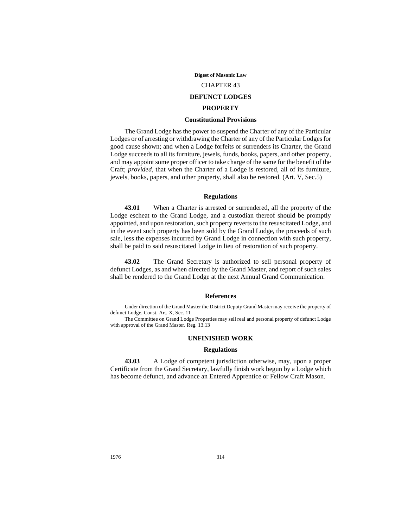**Digest of Masonic Law**

CHAPTER 43

### **DEFUNCT LODGES**

### **PROPERTY**

### **Constitutional Provisions**

The Grand Lodge has the power to suspend the Charter of any of the Particular Lodges or of arresting or withdrawing the Charter of any of the Particular Lodges for good cause shown; and when a Lodge forfeits or surrenders its Charter, the Grand Lodge succeeds to all its furniture, jewels, funds, books, papers, and other property, and may appoint some proper officer to take charge of the same for the benefit of the Craft; *provided,* that when the Charter of a Lodge is restored, all of its furniture, jewels, books, papers, and other property, shall also be restored. (Art. V, Sec.5)

### **Regulations**

**43.01** When a Charter is arrested or surrendered, all the property of the Lodge escheat to the Grand Lodge, and a custodian thereof should be promptly appointed, and upon restoration, such property reverts to the resuscitated Lodge, and in the event such property has been sold by the Grand Lodge, the proceeds of such sale, less the expenses incurred by Grand Lodge in connection with such property, shall be paid to said resuscitated Lodge in lieu of restoration of such property.

**43.02** The Grand Secretary is authorized to sell personal property of defunct Lodges, as and when directed by the Grand Master, and report of such sales shall be rendered to the Grand Lodge at the next Annual Grand Communication.

### **References**

Under direction of the Grand Master the District Deputy Grand Master may receive the property of defunct Lodge. Const. Art. X, Sec. 11

The Committee on Grand Lodge Properties may sell real and personal property of defunct Lodge with approval of the Grand Master. Reg. 13.13

## **UNFINISHED WORK**

#### **Regulations**

**43.03** A Lodge of competent jurisdiction otherwise, may, upon a proper Certificate from the Grand Secretary, lawfully finish work begun by a Lodge which has become defunct, and advance an Entered Apprentice or Fellow Craft Mason.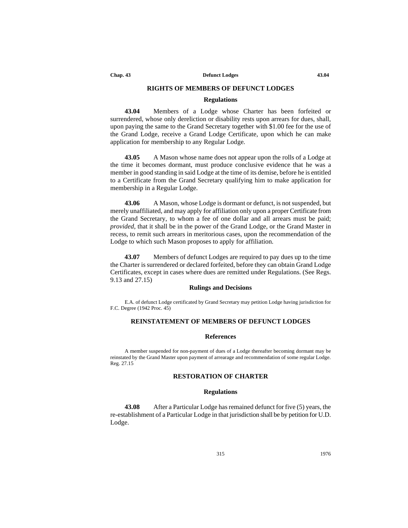**Chap. 43 Defunct Lodges 43.04**

## **RIGHTS OF MEMBERS OF DEFUNCT LODGES**

#### **Regulations**

**43.04** Members of a Lodge whose Charter has been forfeited or surrendered, whose only dereliction or disability rests upon arrears for dues, shall, upon paying the same to the Grand Secretary together with \$1.00 fee for the use of the Grand Lodge, receive a Grand Lodge Certificate, upon which he can make application for membership to any Regular Lodge.

**43.05** A Mason whose name does not appear upon the rolls of a Lodge at the time it becomes dormant, must produce conclusive evidence that he was a member in good standing in said Lodge at the time of its demise, before he is entitled to a Certificate from the Grand Secretary qualifying him to make application for membership in a Regular Lodge.

**43.06** A Mason, whose Lodge is dormant or defunct, is not suspended, but merely unaffiliated, and may apply for affiliation only upon a proper Certificate from the Grand Secretary, to whom a fee of one dollar and all arrears must be paid; *provided*, that it shall be in the power of the Grand Lodge, or the Grand Master in recess, to remit such arrears in meritorious cases, upon the recommendation of the Lodge to which such Mason proposes to apply for affiliation.

**43.07** Members of defunct Lodges are required to pay dues up to the time the Charter is surrendered or declared forfeited, before they can obtain Grand Lodge Certificates, except in cases where dues are remitted under Regulations. (See Regs. 9.13 and 27.15)

#### **Rulings and Decisions**

E.A. of defunct Lodge certificated by Grand Secretary may petition Lodge having jurisdiction for F.C. Degree (1942 Proc. 45)

## **REINSTATEMENT OF MEMBERS OF DEFUNCT LODGES**

### **References**

A member suspended for non-payment of dues of a Lodge thereafter becoming dormant may be reinstated by the Grand Master upon payment of arrearage and recommendation of some regular Lodge. Reg. 27.15

### **RESTORATION OF CHARTER**

### **Regulations**

**43.08** After a Particular Lodge has remained defunct for five (5) years, the re-establishment of a Particular Lodge in that jurisdiction shall be by petition for U.D. Lodge.

315 1976